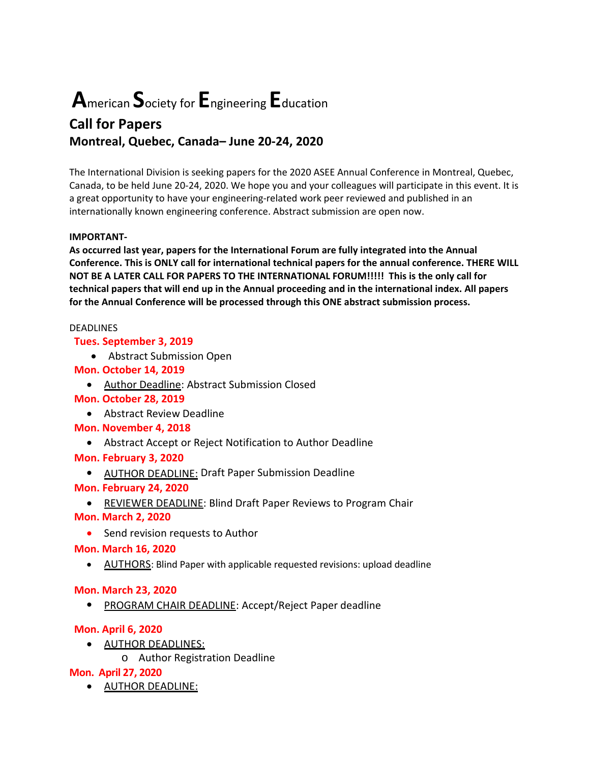# **A**merican **S**ociety for**E**ngineering**E**ducation

## **Call for Papers Montreal, Quebec, Canada– June 20‐24, 2020**

The International Division is seeking papers for the 2020 ASEE Annual Conference in Montreal, Quebec, Canada, to be held June 20‐24, 2020. We hope you and your colleagues will participate in this event. It is a great opportunity to have your engineering‐related work peer reviewed and published in an internationally known engineering conference. Abstract submission are open now.

### **IMPORTANT‐**

**As occurred last year, papers for the International Forum are fully integrated into the Annual Conference. This is ONLY call for international technical papers for the annual conference. THERE WILL NOT BE A LATER CALL FOR PAPERS TO THE INTERNATIONAL FORUM!!!!! This is the only call for technical papers that will end up in the Annual proceeding and in the international index. All papers for the Annual Conference will be processed through this ONE abstract submission process.**

#### DEADLINES

### **Tues. September 3, 2019**

Abstract Submission Open

### **Mon. October 14, 2019**

• Author Deadline: Abstract Submission Closed

### **Mon. October 28, 2019**

Abstract Review Deadline

### **Mon. November 4, 2018**

Abstract Accept or Reject Notification to Author Deadline

### **Mon. February 3, 2020**

• AUTHOR DEADLINE: Draft Paper Submission Deadline

### **Mon. February 24, 2020**

• REVIEWER DEADLINE: Blind Draft Paper Reviews to Program Chair

### **Mon. March 2, 2020**

• Send revision requests to Author

### **Mon. March 16, 2020**

AUTHORS: Blind Paper with applicable requested revisions: upload deadline

### **Mon. March 23, 2020**

• PROGRAM CHAIR DEADLINE: Accept/Reject Paper deadline

### **Mon. April 6, 2020**

- AUTHOR DEADLINES:
	- o Author Registration Deadline

### **Mon. April 27, 2020**

AUTHOR DEADLINE: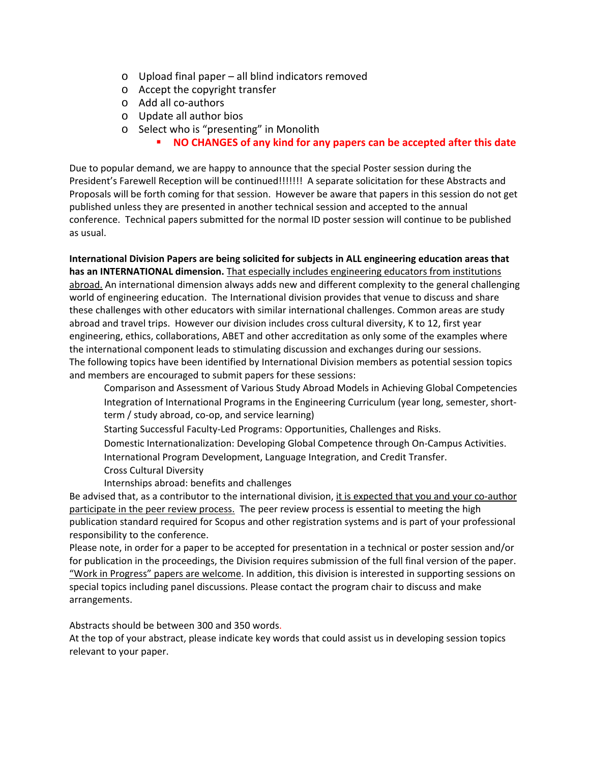- o Upload final paper all blind indicators removed
- o Accept the copyright transfer
- o Add all co‐authors
- o Update all author bios
- o Select who is "presenting" in Monolith
	- **NO CHANGES of any kind for any papers can be accepted after this date**

Due to popular demand, we are happy to announce that the special Poster session during the President's Farewell Reception will be continued!!!!!!! A separate solicitation for these Abstracts and Proposals will be forth coming for that session. However be aware that papers in this session do not get published unless they are presented in another technical session and accepted to the annual conference. Technical papers submitted for the normal ID poster session will continue to be published as usual.

**International Division Papers are being solicited for subjects in ALL engineering education areas that has an INTERNATIONAL dimension.** That especially includes engineering educators from institutions abroad. An international dimension always adds new and different complexity to the general challenging world of engineering education. The International division provides that venue to discuss and share these challenges with other educators with similar international challenges. Common areas are study abroad and travel trips. However our division includes cross cultural diversity, K to 12, first year engineering, ethics, collaborations, ABET and other accreditation as only some of the examples where the international component leads to stimulating discussion and exchanges during our sessions. The following topics have been identified by International Division members as potential session topics and members are encouraged to submit papers for these sessions:

- Comparison and Assessment of Various Study Abroad Models in Achieving Global Competencies Integration of International Programs in the Engineering Curriculum (year long, semester, short‐ term / study abroad, co-op, and service learning)
- Starting Successful Faculty‐Led Programs: Opportunities, Challenges and Risks.
- Domestic Internationalization: Developing Global Competence through On‐Campus Activities.
- International Program Development, Language Integration, and Credit Transfer.
- Cross Cultural Diversity
- Internships abroad: benefits and challenges

Be advised that, as a contributor to the international division, it is expected that you and your co‐author participate in the peer review process. The peer review process is essential to meeting the high publication standard required for Scopus and other registration systems and is part of your professional responsibility to the conference.

Please note, in order for a paper to be accepted for presentation in a technical or poster session and/or for publication in the proceedings, the Division requires submission of the full final version of the paper. "Work in Progress" papers are welcome. In addition, this division is interested in supporting sessions on special topics including panel discussions. Please contact the program chair to discuss and make arrangements.

Abstracts should be between 300 and 350 words.

At the top of your abstract, please indicate key words that could assist us in developing session topics relevant to your paper.